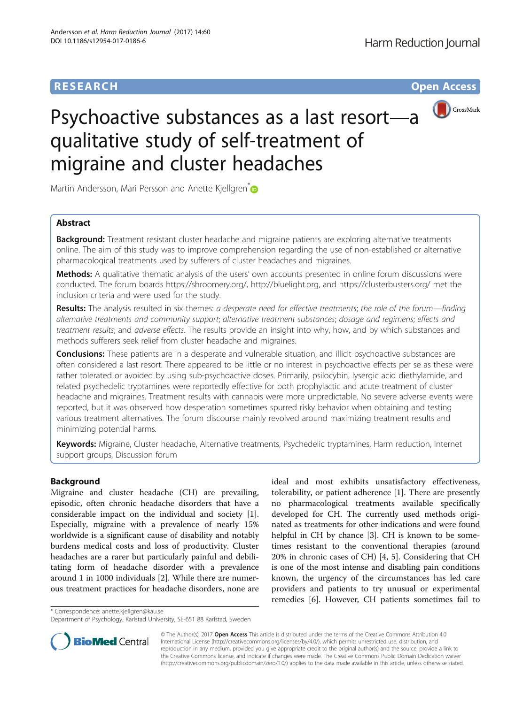# **RESEARCH RESEARCH** *CHECKER CHECKER CHECKER CHECKER CHECKER CHECKER CHECKER CHECKER CHECKER CHECKER CHECKER*



# Psychoactive substances as a last resort—a qualitative study of self-treatment of migraine and cluster headaches

Martin Andersson, Mari Persson and Anette Kjellgren<sup>\*</sup>

## Abstract

Background: Treatment resistant cluster headache and migraine patients are exploring alternative treatments online. The aim of this study was to improve comprehension regarding the use of non-established or alternative pharmacological treatments used by sufferers of cluster headaches and migraines.

Methods: A qualitative thematic analysis of the users' own accounts presented in online forum discussions were conducted. The forum boards [https://shroomery.org/,](http://shroomery.org) [http://bluelight.org,](http://bluelight.org) and<https://clusterbusters.org/> met the inclusion criteria and were used for the study.

Results: The analysis resulted in six themes: a desperate need for effective treatments; the role of the forum—finding alternative treatments and community support; alternative treatment substances; dosage and regimens; effects and treatment results; and adverse effects. The results provide an insight into why, how, and by which substances and methods sufferers seek relief from cluster headache and migraines.

Conclusions: These patients are in a desperate and vulnerable situation, and illicit psychoactive substances are often considered a last resort. There appeared to be little or no interest in psychoactive effects per se as these were rather tolerated or avoided by using sub-psychoactive doses. Primarily, psilocybin, lysergic acid diethylamide, and related psychedelic tryptamines were reportedly effective for both prophylactic and acute treatment of cluster headache and migraines. Treatment results with cannabis were more unpredictable. No severe adverse events were reported, but it was observed how desperation sometimes spurred risky behavior when obtaining and testing various treatment alternatives. The forum discourse mainly revolved around maximizing treatment results and minimizing potential harms.

Keywords: Migraine, Cluster headache, Alternative treatments, Psychedelic tryptamines, Harm reduction, Internet support groups, Discussion forum

## Background

Migraine and cluster headache (CH) are prevailing, episodic, often chronic headache disorders that have a considerable impact on the individual and society [\[1](#page-8-0)]. Especially, migraine with a prevalence of nearly 15% worldwide is a significant cause of disability and notably burdens medical costs and loss of productivity. Cluster headaches are a rarer but particularly painful and debilitating form of headache disorder with a prevalence around 1 in 1000 individuals [\[2](#page-8-0)]. While there are numerous treatment practices for headache disorders, none are

ideal and most exhibits unsatisfactory effectiveness, tolerability, or patient adherence [\[1\]](#page-8-0). There are presently no pharmacological treatments available specifically developed for CH. The currently used methods originated as treatments for other indications and were found helpful in CH by chance [[3\]](#page-8-0). CH is known to be sometimes resistant to the conventional therapies (around 20% in chronic cases of CH) [[4, 5\]](#page-8-0). Considering that CH is one of the most intense and disabling pain conditions known, the urgency of the circumstances has led care providers and patients to try unusual or experimental remedies [[6](#page-8-0)]. However, CH patients sometimes fail to

Department of Psychology, Karlstad University, SE-651 88 Karlstad, Sweden



© The Author(s). 2017 **Open Access** This article is distributed under the terms of the Creative Commons Attribution 4.0 International License [\(http://creativecommons.org/licenses/by/4.0/](http://creativecommons.org/licenses/by/4.0/)), which permits unrestricted use, distribution, and reproduction in any medium, provided you give appropriate credit to the original author(s) and the source, provide a link to the Creative Commons license, and indicate if changes were made. The Creative Commons Public Domain Dedication waiver [\(http://creativecommons.org/publicdomain/zero/1.0/](http://creativecommons.org/publicdomain/zero/1.0/)) applies to the data made available in this article, unless otherwise stated.

<sup>\*</sup> Correspondence: [anette.kjellgren@kau.se](mailto:anette.kjellgren@kau.se)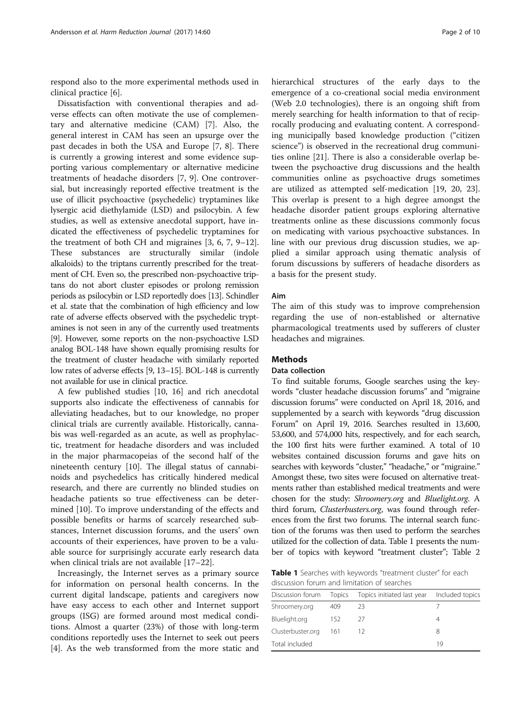respond also to the more experimental methods used in clinical practice [[6\]](#page-8-0).

Dissatisfaction with conventional therapies and adverse effects can often motivate the use of complementary and alternative medicine (CAM) [\[7](#page-8-0)]. Also, the general interest in CAM has seen an upsurge over the past decades in both the USA and Europe [[7](#page-8-0), [8](#page-8-0)]. There is currently a growing interest and some evidence supporting various complementary or alternative medicine treatments of headache disorders [[7, 9](#page-8-0)]. One controversial, but increasingly reported effective treatment is the use of illicit psychoactive (psychedelic) tryptamines like lysergic acid diethylamide (LSD) and psilocybin. A few studies, as well as extensive anecdotal support, have indicated the effectiveness of psychedelic tryptamines for the treatment of both CH and migraines [\[3, 6](#page-8-0), [7, 9](#page-8-0)–[12](#page-9-0)]. These substances are structurally similar (indole alkaloids) to the triptans currently prescribed for the treatment of CH. Even so, the prescribed non-psychoactive triptans do not abort cluster episodes or prolong remission periods as psilocybin or LSD reportedly does [[13\]](#page-9-0). Schindler et al. state that the combination of high efficiency and low rate of adverse effects observed with the psychedelic tryptamines is not seen in any of the currently used treatments [[9](#page-8-0)]. However, some reports on the non-psychoactive LSD analog BOL-148 have shown equally promising results for the treatment of cluster headache with similarly reported low rates of adverse effects [[9](#page-8-0), [13](#page-9-0)–[15](#page-9-0)]. BOL-148 is currently not available for use in clinical practice.

A few published studies [\[10,](#page-8-0) [16\]](#page-9-0) and rich anecdotal supports also indicate the effectiveness of cannabis for alleviating headaches, but to our knowledge, no proper clinical trials are currently available. Historically, cannabis was well-regarded as an acute, as well as prophylactic, treatment for headache disorders and was included in the major pharmacopeias of the second half of the nineteenth century [\[10\]](#page-8-0). The illegal status of cannabinoids and psychedelics has critically hindered medical research, and there are currently no blinded studies on headache patients so true effectiveness can be determined [[10](#page-8-0)]. To improve understanding of the effects and possible benefits or harms of scarcely researched substances, Internet discussion forums, and the users' own accounts of their experiences, have proven to be a valuable source for surprisingly accurate early research data when clinical trials are not available [\[17](#page-9-0)–[22\]](#page-9-0).

Increasingly, the Internet serves as a primary source for information on personal health concerns. In the current digital landscape, patients and caregivers now have easy access to each other and Internet support groups (ISG) are formed around most medical conditions. Almost a quarter (23%) of those with long-term conditions reportedly uses the Internet to seek out peers [[4\]](#page-8-0). As the web transformed from the more static and hierarchical structures of the early days to the emergence of a co-creational social media environment (Web 2.0 technologies), there is an ongoing shift from merely searching for health information to that of reciprocally producing and evaluating content. A corresponding municipally based knowledge production ("citizen science") is observed in the recreational drug communities online [\[21\]](#page-9-0). There is also a considerable overlap between the psychoactive drug discussions and the health communities online as psychoactive drugs sometimes are utilized as attempted self-medication [[19, 20, 23](#page-9-0)]. This overlap is present to a high degree amongst the headache disorder patient groups exploring alternative treatments online as these discussions commonly focus on medicating with various psychoactive substances. In line with our previous drug discussion studies, we applied a similar approach using thematic analysis of forum discussions by sufferers of headache disorders as a basis for the present study.

## Aim

The aim of this study was to improve comprehension regarding the use of non-established or alternative pharmacological treatments used by sufferers of cluster headaches and migraines.

## Methods

## Data collection

To find suitable forums, Google searches using the keywords "cluster headache discussion forums" and "migraine discussion forums" were conducted on April 18, 2016, and supplemented by a search with keywords "drug discussion Forum" on April 19, 2016. Searches resulted in 13,600, 53,600, and 574,000 hits, respectively, and for each search, the 100 first hits were further examined. A total of 10 websites contained discussion forums and gave hits on searches with keywords "cluster," "headache," or "migraine." Amongst these, two sites were focused on alternative treatments rather than established medical treatments and were chosen for the study: [Shroomery.org](http://shroomery.org) and [Bluelight.org](http://bluelight.org). A third forum, [Clusterbusters.org](http://clusterbusters.org), was found through references from the first two forums. The internal search function of the forums was then used to perform the searches utilized for the collection of data. Table 1 presents the number of topics with keyword "treatment cluster"; Table [2](#page-2-0)

Table 1 Searches with keywords "treatment cluster" for each discussion forum and limitation of searches

| Discussion forum  | Topics | Topics initiated last year | Included topics |  |
|-------------------|--------|----------------------------|-----------------|--|
| Shroomery.org     | 409    | 23                         |                 |  |
| Bluelight.org     | 152    | 27                         |                 |  |
| Clusterbuster.org | 161    | 12                         | 8               |  |
| Total included    |        |                            | 19              |  |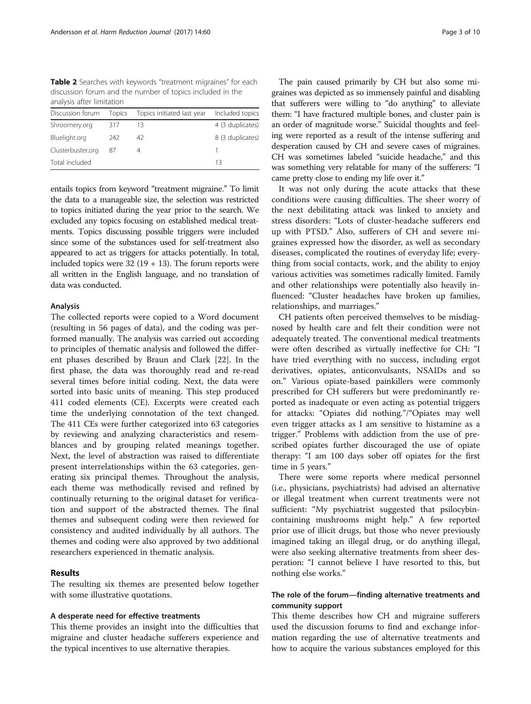<span id="page-2-0"></span>Table 2 Searches with keywords "treatment migraines" for each discussion forum and the number of topics included in the analysis after limitation

| Discussion forum  | <b>Topics</b> | Topics initiated last year | Included topics  |
|-------------------|---------------|----------------------------|------------------|
| Shroomery.org     | 317           | 13                         | 4 (3 duplicates) |
| Bluelight.org     | 242           | 42                         | 8 (3 duplicates) |
| Clusterbuster.org | 87            |                            |                  |
| Total included    |               |                            | 13               |

entails topics from keyword "treatment migraine." To limit the data to a manageable size, the selection was restricted to topics initiated during the year prior to the search. We excluded any topics focusing on established medical treatments. Topics discussing possible triggers were included since some of the substances used for self-treatment also appeared to act as triggers for attacks potentially. In total, included topics were  $32(19 + 13)$ . The forum reports were all written in the English language, and no translation of data was conducted.

## Analysis

The collected reports were copied to a Word document (resulting in 56 pages of data), and the coding was performed manually. The analysis was carried out according to principles of thematic analysis and followed the different phases described by Braun and Clark [\[22\]](#page-9-0). In the first phase, the data was thoroughly read and re-read several times before initial coding. Next, the data were sorted into basic units of meaning. This step produced 411 coded elements (CE). Excerpts were created each time the underlying connotation of the text changed. The 411 CEs were further categorized into 63 categories by reviewing and analyzing characteristics and resemblances and by grouping related meanings together. Next, the level of abstraction was raised to differentiate present interrelationships within the 63 categories, generating six principal themes. Throughout the analysis, each theme was methodically revised and refined by continually returning to the original dataset for verification and support of the abstracted themes. The final themes and subsequent coding were then reviewed for consistency and audited individually by all authors. The themes and coding were also approved by two additional researchers experienced in thematic analysis.

## Results

The resulting six themes are presented below together with some illustrative quotations.

### A desperate need for effective treatments

This theme provides an insight into the difficulties that migraine and cluster headache sufferers experience and the typical incentives to use alternative therapies.

The pain caused primarily by CH but also some migraines was depicted as so immensely painful and disabling that sufferers were willing to "do anything" to alleviate them: "I have fractured multiple bones, and cluster pain is an order of magnitude worse." Suicidal thoughts and feeling were reported as a result of the intense suffering and desperation caused by CH and severe cases of migraines. CH was sometimes labeled "suicide headache," and this was something very relatable for many of the sufferers: "I came pretty close to ending my life over it."

It was not only during the acute attacks that these conditions were causing difficulties. The sheer worry of the next debilitating attack was linked to anxiety and stress disorders: "Lots of cluster-headache sufferers end up with PTSD." Also, sufferers of CH and severe migraines expressed how the disorder, as well as secondary diseases, complicated the routines of everyday life; everything from social contacts, work, and the ability to enjoy various activities was sometimes radically limited. Family and other relationships were potentially also heavily influenced: "Cluster headaches have broken up families, relationships, and marriages."

CH patients often perceived themselves to be misdiagnosed by health care and felt their condition were not adequately treated. The conventional medical treatments were often described as virtually ineffective for CH: "I have tried everything with no success, including ergot derivatives, opiates, anticonvulsants, NSAIDs and so on." Various opiate-based painkillers were commonly prescribed for CH sufferers but were predominantly reported as inadequate or even acting as potential triggers for attacks: "Opiates did nothing."/"Opiates may well even trigger attacks as I am sensitive to histamine as a trigger." Problems with addiction from the use of prescribed opiates further discouraged the use of opiate therapy: "I am 100 days sober off opiates for the first time in 5 years."

There were some reports where medical personnel (i.e., physicians, psychiatrists) had advised an alternative or illegal treatment when current treatments were not sufficient: "My psychiatrist suggested that psilocybincontaining mushrooms might help." A few reported prior use of illicit drugs, but those who never previously imagined taking an illegal drug, or do anything illegal, were also seeking alternative treatments from sheer desperation: "I cannot believe I have resorted to this, but nothing else works."

## The role of the forum—finding alternative treatments and community support

This theme describes how CH and migraine sufferers used the discussion forums to find and exchange information regarding the use of alternative treatments and how to acquire the various substances employed for this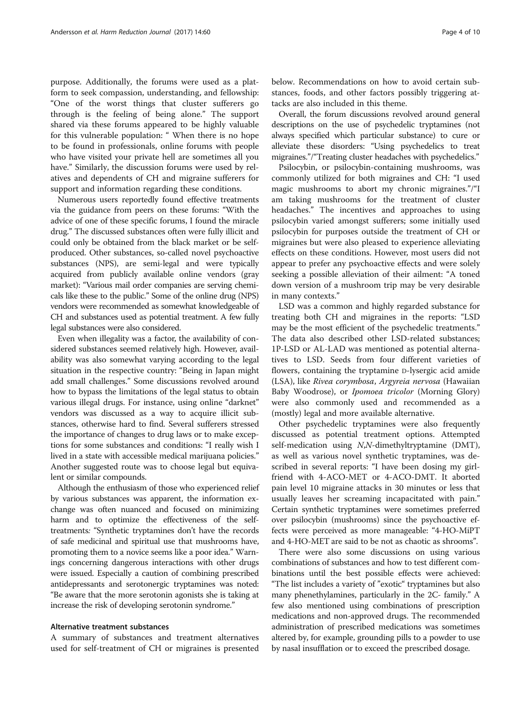purpose. Additionally, the forums were used as a platform to seek compassion, understanding, and fellowship: "One of the worst things that cluster sufferers go through is the feeling of being alone." The support shared via these forums appeared to be highly valuable for this vulnerable population: " When there is no hope to be found in professionals, online forums with people who have visited your private hell are sometimes all you have." Similarly, the discussion forums were used by relatives and dependents of CH and migraine sufferers for support and information regarding these conditions.

Numerous users reportedly found effective treatments via the guidance from peers on these forums: "With the advice of one of these specific forums, I found the miracle drug." The discussed substances often were fully illicit and could only be obtained from the black market or be selfproduced. Other substances, so-called novel psychoactive substances (NPS), are semi-legal and were typically acquired from publicly available online vendors (gray market): "Various mail order companies are serving chemicals like these to the public." Some of the online drug (NPS) vendors were recommended as somewhat knowledgeable of CH and substances used as potential treatment. A few fully legal substances were also considered.

Even when illegality was a factor, the availability of considered substances seemed relatively high. However, availability was also somewhat varying according to the legal situation in the respective country: "Being in Japan might add small challenges." Some discussions revolved around how to bypass the limitations of the legal status to obtain various illegal drugs. For instance, using online "darknet" vendors was discussed as a way to acquire illicit substances, otherwise hard to find. Several sufferers stressed the importance of changes to drug laws or to make exceptions for some substances and conditions: "I really wish I lived in a state with accessible medical marijuana policies." Another suggested route was to choose legal but equivalent or similar compounds.

Although the enthusiasm of those who experienced relief by various substances was apparent, the information exchange was often nuanced and focused on minimizing harm and to optimize the effectiveness of the selftreatments: "Synthetic tryptamines don't have the records of safe medicinal and spiritual use that mushrooms have, promoting them to a novice seems like a poor idea." Warnings concerning dangerous interactions with other drugs were issued. Especially a caution of combining prescribed antidepressants and serotonergic tryptamines was noted: "Be aware that the more serotonin agonists she is taking at increase the risk of developing serotonin syndrome."

## Alternative treatment substances

A summary of substances and treatment alternatives used for self-treatment of CH or migraines is presented below. Recommendations on how to avoid certain substances, foods, and other factors possibly triggering attacks are also included in this theme.

Overall, the forum discussions revolved around general descriptions on the use of psychedelic tryptamines (not always specified which particular substance) to cure or alleviate these disorders: "Using psychedelics to treat migraines."/"Treating cluster headaches with psychedelics."

Psilocybin, or psilocybin-containing mushrooms, was commonly utilized for both migraines and CH: "I used magic mushrooms to abort my chronic migraines."/"I am taking mushrooms for the treatment of cluster headaches." The incentives and approaches to using psilocybin varied amongst sufferers; some initially used psilocybin for purposes outside the treatment of CH or migraines but were also pleased to experience alleviating effects on these conditions. However, most users did not appear to prefer any psychoactive effects and were solely seeking a possible alleviation of their ailment: "A toned down version of a mushroom trip may be very desirable in many contexts."

LSD was a common and highly regarded substance for treating both CH and migraines in the reports: "LSD may be the most efficient of the psychedelic treatments." The data also described other LSD-related substances; 1P-LSD or AL-LAD was mentioned as potential alternatives to LSD. Seeds from four different varieties of flowers, containing the tryptamine D-lysergic acid amide (LSA), like Rivea corymbosa, Argyreia nervosa (Hawaiian Baby Woodrose), or Ipomoea tricolor (Morning Glory) were also commonly used and recommended as a (mostly) legal and more available alternative.

Other psychedelic tryptamines were also frequently discussed as potential treatment options. Attempted self-medication using  $N<sub>1</sub>N$ -dimethyltryptamine (DMT), as well as various novel synthetic tryptamines, was described in several reports: "I have been dosing my girlfriend with 4-ACO-MET or 4-ACO-DMT. It aborted pain level 10 migraine attacks in 30 minutes or less that usually leaves her screaming incapacitated with pain." Certain synthetic tryptamines were sometimes preferred over psilocybin (mushrooms) since the psychoactive effects were perceived as more manageable: "4-HO-MiPT and 4-HO-MET are said to be not as chaotic as shrooms".

There were also some discussions on using various combinations of substances and how to test different combinations until the best possible effects were achieved: "The list includes a variety of "exotic" tryptamines but also many phenethylamines, particularly in the 2C- family." A few also mentioned using combinations of prescription medications and non-approved drugs. The recommended administration of prescribed medications was sometimes altered by, for example, grounding pills to a powder to use by nasal insufflation or to exceed the prescribed dosage.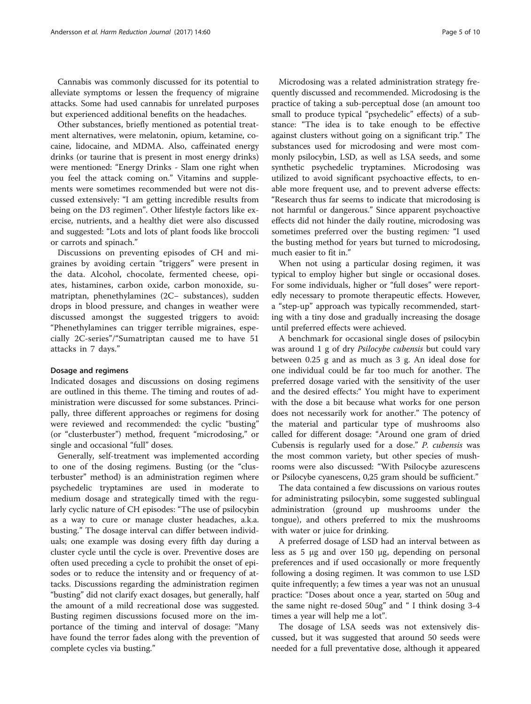<span id="page-4-0"></span>Cannabis was commonly discussed for its potential to alleviate symptoms or lessen the frequency of migraine attacks. Some had used cannabis for unrelated purposes but experienced additional benefits on the headaches.

Other substances, briefly mentioned as potential treatment alternatives, were melatonin, opium, ketamine, cocaine, lidocaine, and MDMA. Also, caffeinated energy drinks (or taurine that is present in most energy drinks) were mentioned: "Energy Drinks - Slam one right when you feel the attack coming on." Vitamins and supplements were sometimes recommended but were not discussed extensively: "I am getting incredible results from being on the D3 regimen". Other lifestyle factors like exercise, nutrients, and a healthy diet were also discussed and suggested: "Lots and lots of plant foods like broccoli or carrots and spinach."

Discussions on preventing episodes of CH and migraines by avoiding certain "triggers" were present in the data. Alcohol, chocolate, fermented cheese, opiates, histamines, carbon oxide, carbon monoxide, sumatriptan, phenethylamines (2C− substances), sudden drops in blood pressure, and changes in weather were discussed amongst the suggested triggers to avoid: "Phenethylamines can trigger terrible migraines, especially 2C-series"/"Sumatriptan caused me to have 51 attacks in 7 days."

#### Dosage and regimens

Indicated dosages and discussions on dosing regimens are outlined in this theme. The timing and routes of administration were discussed for some substances. Principally, three different approaches or regimens for dosing were reviewed and recommended: the cyclic "busting" (or "clusterbuster") method, frequent "microdosing," or single and occasional "full" doses.

Generally, self-treatment was implemented according to one of the dosing regimens. Busting (or the "clusterbuster" method) is an administration regimen where psychedelic tryptamines are used in moderate to medium dosage and strategically timed with the regularly cyclic nature of CH episodes: "The use of psilocybin as a way to cure or manage cluster headaches, a.k.a. busting." The dosage interval can differ between individuals; one example was dosing every fifth day during a cluster cycle until the cycle is over. Preventive doses are often used preceding a cycle to prohibit the onset of episodes or to reduce the intensity and or frequency of attacks. Discussions regarding the administration regimen "busting" did not clarify exact dosages, but generally, half the amount of a mild recreational dose was suggested. Busting regimen discussions focused more on the importance of the timing and interval of dosage: "Many have found the terror fades along with the prevention of complete cycles via busting."

Microdosing was a related administration strategy frequently discussed and recommended. Microdosing is the practice of taking a sub-perceptual dose (an amount too small to produce typical "psychedelic" effects) of a substance: "The idea is to take enough to be effective against clusters without going on a significant trip." The substances used for microdosing and were most commonly psilocybin, LSD, as well as LSA seeds, and some synthetic psychedelic tryptamines. Microdosing was utilized to avoid significant psychoactive effects, to enable more frequent use, and to prevent adverse effects: "Research thus far seems to indicate that microdosing is not harmful or dangerous." Since apparent psychoactive effects did not hinder the daily routine, microdosing was sometimes preferred over the busting regimen: "I used the busting method for years but turned to microdosing, much easier to fit in."

When not using a particular dosing regimen, it was typical to employ higher but single or occasional doses. For some individuals, higher or "full doses" were reportedly necessary to promote therapeutic effects. However, a "step-up" approach was typically recommended, starting with a tiny dose and gradually increasing the dosage until preferred effects were achieved.

A benchmark for occasional single doses of psilocybin was around 1 g of dry Psilocybe cubensis but could vary between 0.25 g and as much as 3 g. An ideal dose for one individual could be far too much for another. The preferred dosage varied with the sensitivity of the user and the desired effects:" You might have to experiment with the dose a bit because what works for one person does not necessarily work for another." The potency of the material and particular type of mushrooms also called for different dosage: "Around one gram of dried Cubensis is regularly used for a dose." P. cubensis was the most common variety, but other species of mushrooms were also discussed: "With Psilocybe azurescens or Psilocybe cyanescens, 0,25 gram should be sufficient."

The data contained a few discussions on various routes for administrating psilocybin, some suggested sublingual administration (ground up mushrooms under the tongue), and others preferred to mix the mushrooms with water or juice for drinking.

A preferred dosage of LSD had an interval between as less as 5 μg and over 150 μg, depending on personal preferences and if used occasionally or more frequently following a dosing regimen. It was common to use LSD quite infrequently; a few times a year was not an unusual practice: "Doses about once a year, started on 50ug and the same night re-dosed 50ug" and " I think dosing 3-4 times a year will help me a lot".

The dosage of LSA seeds was not extensively discussed, but it was suggested that around 50 seeds were needed for a full preventative dose, although it appeared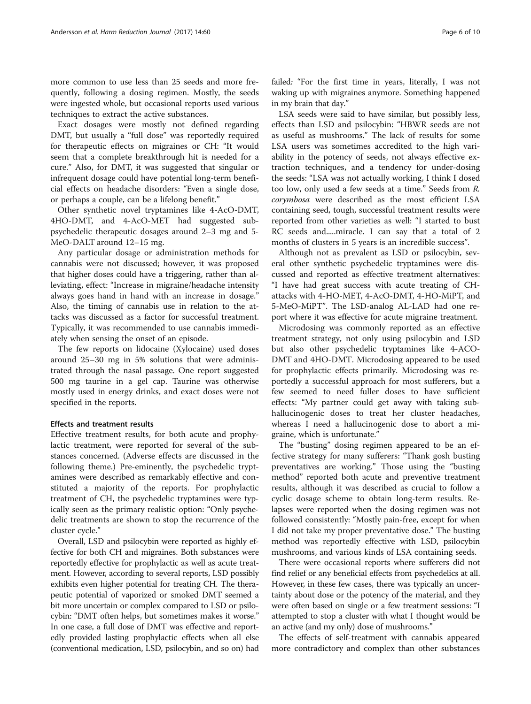more common to use less than 25 seeds and more frequently, following a dosing regimen. Mostly, the seeds were ingested whole, but occasional reports used various techniques to extract the active substances.

Exact dosages were mostly not defined regarding DMT, but usually a "full dose" was reportedly required for therapeutic effects on migraines or CH: "It would seem that a complete breakthrough hit is needed for a cure." Also, for DMT, it was suggested that singular or infrequent dosage could have potential long-term beneficial effects on headache disorders: "Even a single dose, or perhaps a couple, can be a lifelong benefit."

Other synthetic novel tryptamines like 4-AcO-DMT, 4HO-DMT, and 4-AcO-MET had suggested subpsychedelic therapeutic dosages around 2–3 mg and 5- MeO-DALT around 12–15 mg.

Any particular dosage or administration methods for cannabis were not discussed; however, it was proposed that higher doses could have a triggering, rather than alleviating, effect: "Increase in migraine/headache intensity always goes hand in hand with an increase in dosage." Also, the timing of cannabis use in relation to the attacks was discussed as a factor for successful treatment. Typically, it was recommended to use cannabis immediately when sensing the onset of an episode.

The few reports on lidocaine (Xylocaine) used doses around 25–30 mg in 5% solutions that were administrated through the nasal passage. One report suggested 500 mg taurine in a gel cap. Taurine was otherwise mostly used in energy drinks, and exact doses were not specified in the reports.

### Effects and treatment results

Effective treatment results, for both acute and prophylactic treatment, were reported for several of the substances concerned. (Adverse effects are discussed in the following theme.) Pre-eminently, the psychedelic tryptamines were described as remarkably effective and constituted a majority of the reports. For prophylactic treatment of CH, the psychedelic tryptamines were typically seen as the primary realistic option: "Only psychedelic treatments are shown to stop the recurrence of the cluster cycle."

Overall, LSD and psilocybin were reported as highly effective for both CH and migraines. Both substances were reportedly effective for prophylactic as well as acute treatment. However, according to several reports, LSD possibly exhibits even higher potential for treating CH. The therapeutic potential of vaporized or smoked DMT seemed a bit more uncertain or complex compared to LSD or psilocybin: "DMT often helps, but sometimes makes it worse." In one case, a full dose of DMT was effective and reportedly provided lasting prophylactic effects when all else (conventional medication, LSD, psilocybin, and so on) had failed: "For the first time in years, literally, I was not waking up with migraines anymore. Something happened in my brain that day."

LSA seeds were said to have similar, but possibly less, effects than LSD and psilocybin: "HBWR seeds are not as useful as mushrooms." The lack of results for some LSA users was sometimes accredited to the high variability in the potency of seeds, not always effective extraction techniques, and a tendency for under-dosing the seeds: "LSA was not actually working, I think I dosed too low, only used a few seeds at a time." Seeds from R. corymbosa were described as the most efficient LSA containing seed, tough, successful treatment results were reported from other varieties as well: "I started to bust RC seeds and.....miracle. I can say that a total of 2 months of clusters in 5 years is an incredible success".

Although not as prevalent as LSD or psilocybin, several other synthetic psychedelic tryptamines were discussed and reported as effective treatment alternatives: "I have had great success with acute treating of CHattacks with 4-HO-MET, 4-AcO-DMT, 4-HO-MiPT, and 5-MeO-MiPT". The LSD-analog AL-LAD had one report where it was effective for acute migraine treatment.

Microdosing was commonly reported as an effective treatment strategy, not only using psilocybin and LSD but also other psychedelic tryptamines like 4-ACO-DMT and 4HO-DMT. Microdosing appeared to be used for prophylactic effects primarily. Microdosing was reportedly a successful approach for most sufferers, but a few seemed to need fuller doses to have sufficient effects: "My partner could get away with taking subhallucinogenic doses to treat her cluster headaches, whereas I need a hallucinogenic dose to abort a migraine, which is unfortunate."

The "busting" dosing regimen appeared to be an effective strategy for many sufferers: "Thank gosh busting preventatives are working." Those using the "busting method" reported both acute and preventive treatment results, although it was described as crucial to follow a cyclic dosage scheme to obtain long-term results. Relapses were reported when the dosing regimen was not followed consistently: "Mostly pain-free, except for when I did not take my proper preventative dose." The busting method was reportedly effective with LSD, psilocybin mushrooms, and various kinds of LSA containing seeds.

There were occasional reports where sufferers did not find relief or any beneficial effects from psychedelics at all. However, in these few cases, there was typically an uncertainty about dose or the potency of the material, and they were often based on single or a few treatment sessions: "I attempted to stop a cluster with what I thought would be an active (and my only) dose of mushrooms."

The effects of self-treatment with cannabis appeared more contradictory and complex than other substances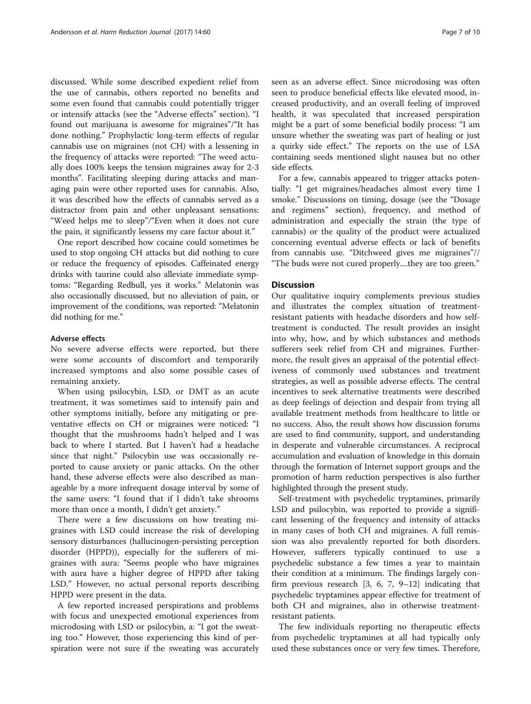discussed. While some described expedient relief from the use of cannabis, others reported no benefits and some even found that cannabis could potentially trigger or intensify attacks (see the "Adverse effects" section). "I found out marijuana is awesome for migraines"/"It has done nothing." Prophylactic long-term effects of regular cannabis use on migraines (not CH) with a lessening in the frequency of attacks were reported: "The weed actually does 100% keeps the tension migraines away for 2-3 months". Facilitating sleeping during attacks and managing pain were other reported uses for cannabis. Also, it was described how the effects of cannabis served as a distractor from pain and other unpleasant sensations: "Weed helps me to sleep"/"Even when it does not cure the pain, it significantly lessens my care factor about it."

One report described how cocaine could sometimes be used to stop ongoing CH attacks but did nothing to cure or reduce the frequency of episodes. Caffeinated energy drinks with taurine could also alleviate immediate symptoms: "Regarding Redbull, yes it works." Melatonin was also occasionally discussed, but no alleviation of pain, or improvement of the conditions, was reported: "Melatonin did nothing for me."

## Adverse effects

No severe adverse effects were reported, but there were some accounts of discomfort and temporarily increased symptoms and also some possible cases of remaining anxiety.

When using psilocybin, LSD, or DMT as an acute treatment, it was sometimes said to intensify pain and other symptoms initially, before any mitigating or preventative effects on CH or migraines were noticed: "I thought that the mushrooms hadn't helped and I was back to where I started. But I haven't had a headache since that night." Psilocybin use was occasionally reported to cause anxiety or panic attacks. On the other hand, these adverse effects were also described as manageable by a more infrequent dosage interval by some of the same users: "I found that if I didn't take shrooms more than once a month, I didn't get anxiety."

There were a few discussions on how treating migraines with LSD could increase the risk of developing sensory disturbances (hallucinogen-persisting perception disorder (HPPD)), especially for the sufferers of migraines with aura: "Seems people who have migraines with aura have a higher degree of HPPD after taking LSD." However, no actual personal reports describing HPPD were present in the data.

A few reported increased perspirations and problems with focus and unexpected emotional experiences from microdosing with LSD or psilocybin, a: "I got the sweating too." However, those experiencing this kind of perspiration were not sure if the sweating was accurately seen as an adverse effect. Since microdosing was often seen to produce beneficial effects like elevated mood, increased productivity, and an overall feeling of improved health, it was speculated that increased perspiration might be a part of some beneficial bodily process: "I am unsure whether the sweating was part of healing or just a quirky side effect." The reports on the use of LSA containing seeds mentioned slight nausea but no other side effects.

For a few, cannabis appeared to trigger attacks potentially: "I get migraines/headaches almost every time I smoke." Discussions on timing, dosage (see the "[Dosage](#page-4-0) [and regimens](#page-4-0)" section), frequency, and method of administration and especially the strain (the type of cannabis) or the quality of the product were actualized concerning eventual adverse effects or lack of benefits from cannabis use. "Ditchweed gives me migraines"// "The buds were not cured properly....they are too green."

## **Discussion**

Our qualitative inquiry complements previous studies and illustrates the complex situation of treatmentresistant patients with headache disorders and how selftreatment is conducted. The result provides an insight into why, how, and by which substances and methods sufferers seek relief from CH and migraines. Furthermore, the result gives an appraisal of the potential effectiveness of commonly used substances and treatment strategies, as well as possible adverse effects. The central incentives to seek alternative treatments were described as deep feelings of dejection and despair from trying all available treatment methods from healthcare to little or no success. Also, the result shows how discussion forums are used to find community, support, and understanding in desperate and vulnerable circumstances. A reciprocal accumulation and evaluation of knowledge in this domain through the formation of Internet support groups and the promotion of harm reduction perspectives is also further highlighted through the present study.

Self-treatment with psychedelic tryptamines, primarily LSD and psilocybin, was reported to provide a significant lessening of the frequency and intensity of attacks in many cases of both CH and migraines. A full remission was also prevalently reported for both disorders. However, sufferers typically continued to use a psychedelic substance a few times a year to maintain their condition at a minimum. The findings largely confirm previous research [\[3](#page-8-0), [6](#page-8-0), [7, 9](#page-8-0)–[12](#page-9-0)] indicating that psychedelic tryptamines appear effective for treatment of both CH and migraines, also in otherwise treatmentresistant patients.

The few individuals reporting no therapeutic effects from psychedelic tryptamines at all had typically only used these substances once or very few times. Therefore,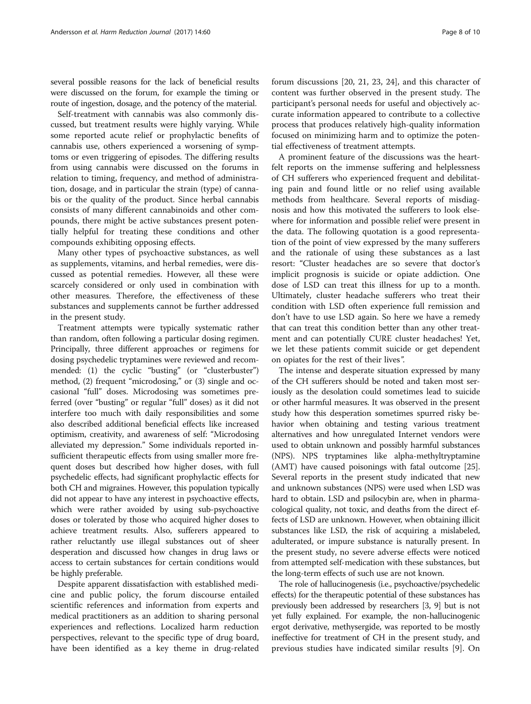several possible reasons for the lack of beneficial results were discussed on the forum, for example the timing or route of ingestion, dosage, and the potency of the material.

Self-treatment with cannabis was also commonly discussed, but treatment results were highly varying. While some reported acute relief or prophylactic benefits of cannabis use, others experienced a worsening of symptoms or even triggering of episodes. The differing results from using cannabis were discussed on the forums in relation to timing, frequency, and method of administration, dosage, and in particular the strain (type) of cannabis or the quality of the product. Since herbal cannabis consists of many different cannabinoids and other compounds, there might be active substances present potentially helpful for treating these conditions and other compounds exhibiting opposing effects.

Many other types of psychoactive substances, as well as supplements, vitamins, and herbal remedies, were discussed as potential remedies. However, all these were scarcely considered or only used in combination with other measures. Therefore, the effectiveness of these substances and supplements cannot be further addressed in the present study.

Treatment attempts were typically systematic rather than random, often following a particular dosing regimen. Principally, three different approaches or regimens for dosing psychedelic tryptamines were reviewed and recommended: (1) the cyclic "busting" (or "clusterbuster") method, (2) frequent "microdosing," or (3) single and occasional "full" doses. Microdosing was sometimes preferred (over "busting" or regular "full" doses) as it did not interfere too much with daily responsibilities and some also described additional beneficial effects like increased optimism, creativity, and awareness of self: "Microdosing alleviated my depression." Some individuals reported insufficient therapeutic effects from using smaller more frequent doses but described how higher doses, with full psychedelic effects, had significant prophylactic effects for both CH and migraines. However, this population typically did not appear to have any interest in psychoactive effects, which were rather avoided by using sub-psychoactive doses or tolerated by those who acquired higher doses to achieve treatment results. Also, sufferers appeared to rather reluctantly use illegal substances out of sheer desperation and discussed how changes in drug laws or access to certain substances for certain conditions would be highly preferable.

Despite apparent dissatisfaction with established medicine and public policy, the forum discourse entailed scientific references and information from experts and medical practitioners as an addition to sharing personal experiences and reflections. Localized harm reduction perspectives, relevant to the specific type of drug board, have been identified as a key theme in drug-related forum discussions [\[20, 21, 23](#page-9-0), [24\]](#page-9-0), and this character of content was further observed in the present study. The participant's personal needs for useful and objectively accurate information appeared to contribute to a collective process that produces relatively high-quality information focused on minimizing harm and to optimize the potential effectiveness of treatment attempts.

A prominent feature of the discussions was the heartfelt reports on the immense suffering and helplessness of CH sufferers who experienced frequent and debilitating pain and found little or no relief using available methods from healthcare. Several reports of misdiagnosis and how this motivated the sufferers to look elsewhere for information and possible relief were present in the data. The following quotation is a good representation of the point of view expressed by the many sufferers and the rationale of using these substances as a last resort: "Cluster headaches are so severe that doctor's implicit prognosis is suicide or opiate addiction. One dose of LSD can treat this illness for up to a month. Ultimately, cluster headache sufferers who treat their condition with LSD often experience full remission and don't have to use LSD again. So here we have a remedy that can treat this condition better than any other treatment and can potentially CURE cluster headaches! Yet, we let these patients commit suicide or get dependent on opiates for the rest of their lives".

The intense and desperate situation expressed by many of the CH sufferers should be noted and taken most seriously as the desolation could sometimes lead to suicide or other harmful measures. It was observed in the present study how this desperation sometimes spurred risky behavior when obtaining and testing various treatment alternatives and how unregulated Internet vendors were used to obtain unknown and possibly harmful substances (NPS). NPS tryptamines like alpha-methyltryptamine (AMT) have caused poisonings with fatal outcome [[25](#page-9-0)]. Several reports in the present study indicated that new and unknown substances (NPS) were used when LSD was hard to obtain. LSD and psilocybin are, when in pharmacological quality, not toxic, and deaths from the direct effects of LSD are unknown. However, when obtaining illicit substances like LSD, the risk of acquiring a mislabeled, adulterated, or impure substance is naturally present. In the present study, no severe adverse effects were noticed from attempted self-medication with these substances, but the long-term effects of such use are not known.

The role of hallucinogenesis (i.e., psychoactive/psychedelic effects) for the therapeutic potential of these substances has previously been addressed by researchers [[3](#page-8-0), [9\]](#page-8-0) but is not yet fully explained. For example, the non-hallucinogenic ergot derivative, methysergide, was reported to be mostly ineffective for treatment of CH in the present study, and previous studies have indicated similar results [[9\]](#page-8-0). On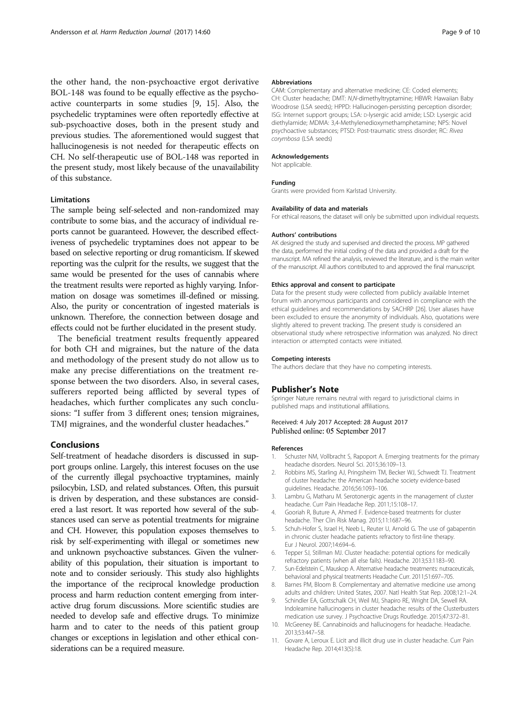<span id="page-8-0"></span>the other hand, the non-psychoactive ergot derivative BOL-148 was found to be equally effective as the psychoactive counterparts in some studies [9, [15](#page-9-0)]. Also, the psychedelic tryptamines were often reportedly effective at sub-psychoactive doses, both in the present study and previous studies. The aforementioned would suggest that hallucinogenesis is not needed for therapeutic effects on CH. No self-therapeutic use of BOL-148 was reported in the present study, most likely because of the unavailability of this substance.

## Limitations

The sample being self-selected and non-randomized may contribute to some bias, and the accuracy of individual reports cannot be guaranteed. However, the described effectiveness of psychedelic tryptamines does not appear to be based on selective reporting or drug romanticism. If skewed reporting was the culprit for the results, we suggest that the same would be presented for the uses of cannabis where the treatment results were reported as highly varying. Information on dosage was sometimes ill-defined or missing. Also, the purity or concentration of ingested materials is unknown. Therefore, the connection between dosage and effects could not be further elucidated in the present study.

The beneficial treatment results frequently appeared for both CH and migraines, but the nature of the data and methodology of the present study do not allow us to make any precise differentiations on the treatment response between the two disorders. Also, in several cases, sufferers reported being afflicted by several types of headaches, which further complicates any such conclusions: "I suffer from 3 different ones; tension migraines, TMJ migraines, and the wonderful cluster headaches."

### Conclusions

Self-treatment of headache disorders is discussed in support groups online. Largely, this interest focuses on the use of the currently illegal psychoactive tryptamines, mainly psilocybin, LSD, and related substances. Often, this pursuit is driven by desperation, and these substances are considered a last resort. It was reported how several of the substances used can serve as potential treatments for migraine and CH. However, this population exposes themselves to risk by self-experimenting with illegal or sometimes new and unknown psychoactive substances. Given the vulnerability of this population, their situation is important to note and to consider seriously. This study also highlights the importance of the reciprocal knowledge production process and harm reduction content emerging from interactive drug forum discussions. More scientific studies are needed to develop safe and effective drugs. To minimize harm and to cater to the needs of this patient group changes or exceptions in legislation and other ethical considerations can be a required measure.

#### Abbreviations

CAM: Complementary and alternative medicine; CE: Coded elements; CH: Cluster headache; DMT: N,N-dimethyltryptamine; HBWR: Hawaiian Baby Woodrose (LSA seeds); HPPD: Hallucinogen-persisting perception disorder; ISG: Internet support groups; LSA: D-lysergic acid amide; LSD: Lysergic acid diethylamide; MDMA: 3,4-Methylenedioxymethamphetamine; NPS: Novel psychoactive substances; PTSD: Post-traumatic stress disorder; RC: Rivea corymbosa (LSA seeds)

#### Acknowledgements

Not applicable.

#### Funding

Grants were provided from Karlstad University.

#### Availability of data and materials

For ethical reasons, the dataset will only be submitted upon individual requests.

#### Authors' contributions

AK designed the study and supervised and directed the process. MP gathered the data, performed the initial coding of the data and provided a draft for the manuscript. MA refined the analysis, reviewed the literature, and is the main writer of the manuscript. All authors contributed to and approved the final manuscript.

#### Ethics approval and consent to participate

Data for the present study were collected from publicly available Internet forum with anonymous participants and considered in compliance with the ethical guidelines and recommendations by SACHRP [\[26](#page-9-0)]. User aliases have been excluded to ensure the anonymity of individuals. Also, quotations were slightly altered to prevent tracking. The present study is considered an observational study where retrospective information was analyzed. No direct interaction or attempted contacts were initiated.

#### Competing interests

The authors declare that they have no competing interests.

#### Publisher's Note

Springer Nature remains neutral with regard to jurisdictional claims in published maps and institutional affiliations.

## Received: 4 July 2017 Accepted: 28 August 2017 Published online: 05 September 2017

#### References

- 1. Schuster NM, Vollbracht S, Rapoport A. Emerging treatments for the primary headache disorders. Neurol Sci. 2015;36:109–13.
- 2. Robbins MS, Starling AJ, Pringsheim TM, Becker WJ, Schwedt TJ. Treatment of cluster headache: the American headache society evidence-based guidelines. Headache. 2016;56:1093–106.
- 3. Lambru G, Matharu M. Serotonergic agents in the management of cluster headache. Curr Pain Headache Rep. 2011;15:108–17.
- 4. Gooriah R, Buture A, Ahmed F. Evidence-based treatments for cluster headache. Ther Clin Risk Manag. 2015;11:1687–96.
- 5. Schuh-Hofer S, Israel H, Neeb L, Reuter U, Arnold G. The use of gabapentin in chronic cluster headache patients refractory to first-line therapy. Eur J Neurol. 2007;14:694–6.
- 6. Tepper SJ, Stillman MJ. Cluster headache: potential options for medically refractory patients (when all else fails). Headache. 2013;53:1183–90.
- 7. Sun-Edelstein C, Mauskop A. Alternative headache treatments: nutraceuticals, behavioral and physical treatments Headache Curr. 2011;51:697–705.
- 8. Barnes PM, Bloom B. Complementary and alternative medicine use among adults and children: United States, 2007. Natl Health Stat Rep. 2008;12:1–24.
- 9. Schindler EA, Gottschalk CH, Weil MJ, Shapiro RE, Wright DA, Sewell RA. Indoleamine hallucinogens in cluster headache: results of the Clusterbusters medication use survey. J Psychoactive Drugs Routledge. 2015;47:372–81.
- 10. McGeeney BE. Cannabinoids and hallucinogens for headache. Headache. 2013;53:447–58.
- 11. Govare A, Leroux E. Licit and illicit drug use in cluster headache. Curr Pain Headache Rep. 2014;413(5):18.